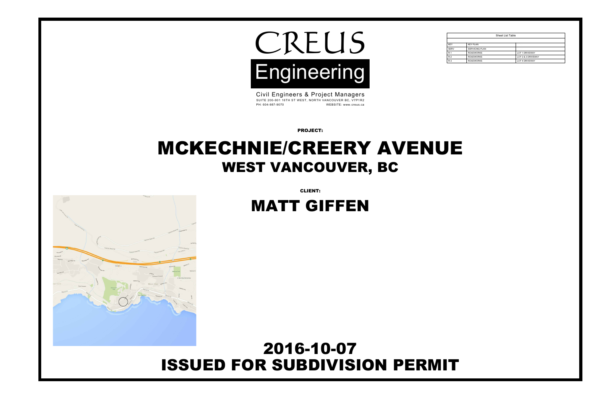PROJECT:



Civil Engineers & Project Managers SUITE 200-901 16TH ST WEST, NORTH VANCOUVER BC, V7P1R2 PH: 604-987-9070 WEBSITE: www.creus.ca

CLIENT:

## ISSUED FOR SUBDIVISION PERMIT 2016-10-07



# MCKECHNIE/CREERY AVENUE WEST VANCOUVER, BC

# MATT GIFFEN

|             | <b>Sheet List Table</b> |                       |
|-------------|-------------------------|-----------------------|
|             |                         |                       |
| <b>KEY</b>  | <b>KEY PLAN</b>         |                       |
| <b>SERV</b> | <b>SERVICING PLAN</b>   |                       |
| $R-1$       | <b>ROADWORKS</b>        | <b>LOT 1 DRIVEWAY</b> |
| $R-2$       | <b>ROADWORKS</b>        | LOT 2 & 3 DRIVEWAY    |
| $R-3$       | <b>ROADWORKS</b>        | <b>LOT 4 DRIVEWAY</b> |

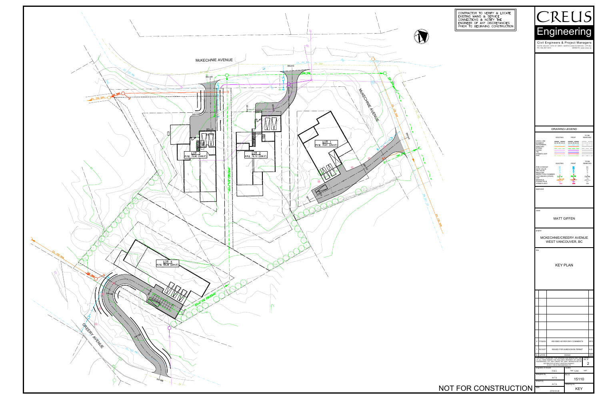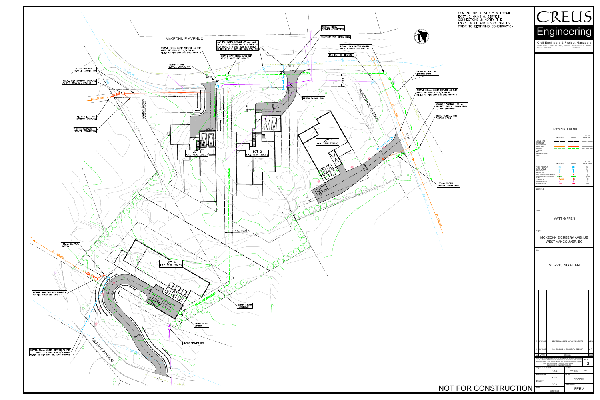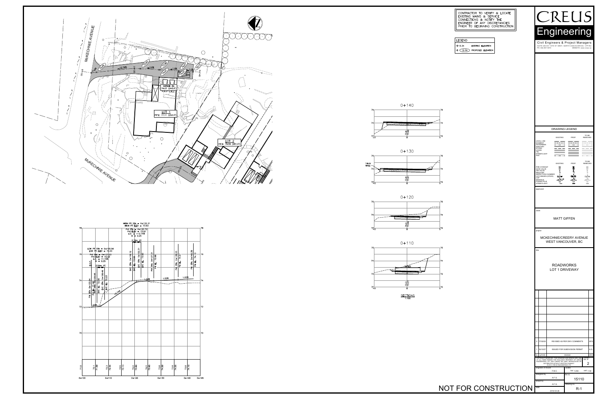











**SECTIONS**<br>1:100

 $-72$ 

270⊹

#### CONTRACTOR TO VERIFY & LOCATE EXISTING MAINS & SERVICE<br>| CONNECTIONS & NOTIFY THE ENGINEER OF ANY DISCREPANCIES  $|$  PRIOR TO BEGINNING CONSTRUCTION  $|$

### LEGEND

 $+12.34$ **EXISTING ELEVATION**  $+$  (12.34) PROPOSED ELEVATION



 $R-1$ 

2016-04-26

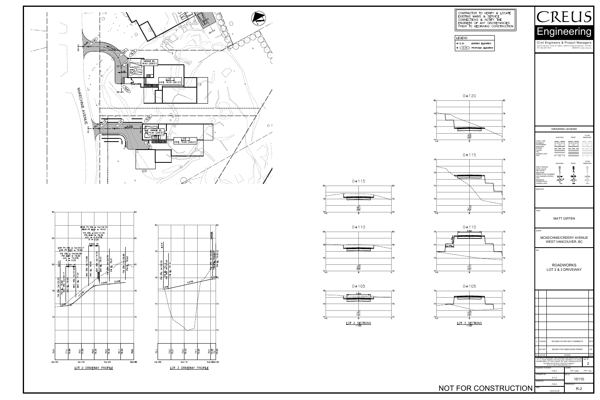





### CONTRACTOR TO VERIFY & LOCATE<br>EXISTING MAINS & SERVICE<br>CONNECTIONS & NOTIFY THE<br>ENGINEER OF ANY DISCREPANCIES PRIOR TO BEGINNING CONSTRUCTION

#### LEGEND

| $+$ 12.34 $\,$ | EXISTING ELEVATION             |
|----------------|--------------------------------|
|                | $+$ (12.34) PROPOSED ELEVATION |





 $70\frac{1}{5}$ 





| CONTRACTOR TO VERIFY & LOCATE<br>EXISTING MAINS & SERVICE<br>CONNECTIONS & NOTIFY THE<br>ENGINEER OF ANY DISCREPANCIES<br>PRIOR TO BEGINNING CONSTRUCTION  <br>LEGEND<br>$+12.34$<br><b>EXISTING ELEVATION</b><br>PROPOSED ELEVATION<br>$^{+}$<br>(12.34) | CREUS<br>Engineering<br>Civil Engineers & Project Managers<br>SUITE 200-901 16TH ST WEST, NORTH VANCOUVER BC, V7P1R2<br>WEBSITE: www.creus.ca<br>PH: 604-987-9070                                                                                                                                                                                                                                                                                                                                                                                                                                                                                                                                                                                                                                                                                                                                |
|-----------------------------------------------------------------------------------------------------------------------------------------------------------------------------------------------------------------------------------------------------------|--------------------------------------------------------------------------------------------------------------------------------------------------------------------------------------------------------------------------------------------------------------------------------------------------------------------------------------------------------------------------------------------------------------------------------------------------------------------------------------------------------------------------------------------------------------------------------------------------------------------------------------------------------------------------------------------------------------------------------------------------------------------------------------------------------------------------------------------------------------------------------------------------|
| $0 + 120$<br>80<br>78<br>$\frac{76.6}{76.61}$<br>74<br>$\circ$<br>$0 + 115$<br>78<br>74                                                                                                                                                                   | <b>DRAWING LEGEND</b><br>TO BE<br><b>REMOVED</b><br><b>EXISTING</b><br>PROP.<br>LEGAL LINE<br>EASMENT<br>WATERMAIN<br>SANITARY<br><b>STORM</b><br><b>HYDRO</b><br>TEL<br>STREETLIGHT<br>GAS<br>TO BE<br><b>EXISTING</b><br>PROP.<br>REMOVED<br>$\boxtimes \boxtimes$<br>$\boxtimes$<br>$\boxtimes$<br>FIRE HYDRANT<br>GATE VALVE<br>$\overline{\bowtie}$<br>м<br>AIR VALVE<br>REDUCER<br>$\circ$<br>$\circ$<br>$\Box$<br>$\Box$<br>$\Box$<br>INSPECTION CHAMBER<br>CATCHBASIN (STD/SI)<br>CAP<br>$\begin{array}{c}\n\blacksquare / \blacksquare \\ \downarrow \\ \hline\n\downarrow \\ \hline\n\downarrow\n\end{array}$<br>6∕ ⊠<br>$\mathbb{Z}/\mathbb{Z}$<br>$\overrightarrow{C}^{\text{EX. MH}}$<br>$-5$ <sup>51</sup><br>MANHOLE<br>POWER POLE<br>$\overline{C}$<br>$\overline{\phantom{a}}$<br>$\overline{C}$<br>STREETLIGHT<br>$\overline{\phantom{0}}$<br>$\subset$<br>$\circ$<br>approved |
| 72<br>$\frac{74.1}{74.06}$<br>70<br>$\Omega$<br>$0 + 110$<br>3.6m<br>76<br>1.2m<br>$\frac{72.2}{72.17}$<br>70<br>$\Omega$                                                                                                                                 | client<br><b>MATT GIFFEN</b><br>project<br>MCKECHNIE/CREERY AVENUE<br>WEST VANCOUVER, BC<br>title<br><b>ROADWORKS</b><br>LOT 2 & 3 DRIVEWAY                                                                                                                                                                                                                                                                                                                                                                                                                                                                                                                                                                                                                                                                                                                                                      |
| $0 + 105$<br>76<br>$\frac{73.2}{73.20}$<br>$\mathbf{O}$<br>$5^{\circ}$<br>LOT 3 SECTIONS<br>1:100                                                                                                                                                         | 2 17/02/02<br>REVISED AS PER DWV COMMENTS<br>AFG                                                                                                                                                                                                                                                                                                                                                                                                                                                                                                                                                                                                                                                                                                                                                                                                                                                 |
| NOT FOR CONSTRUCTION                                                                                                                                                                                                                                      | ISSUED FOR SUBDIVISION PERMIT<br>1 16/10/07<br>AG<br>$no.$ (y/m/d)<br>chk'd<br>revision<br>COPYRIGHT RESERVED. THIS DRAWING AND DESIGN ARE, AND current<br>AT ALL TIMES REMAIN THE EXCLUSIVE PROPERTY OF CREUS $P(X, H)$<br>ENGINEERING LTD. AND CANNOT BE USED, REPRODUCED OR<br>$\overline{2}$<br>DISTRIBUTED WITHOUT WRITTEN CONSENT.<br>© 2016 CREUS ENGINEERING LTD.<br>engineer of record<br>scales<br>hor: 1:250<br>vert: 1:50<br>F.M.C.<br>file no.<br>designed by<br>A.F.G.<br>15110<br>drawn by<br>F.M.C.<br>drawing no.<br>$R-2$<br>2016-04-26                                                                                                                                                                                                                                                                                                                                        |